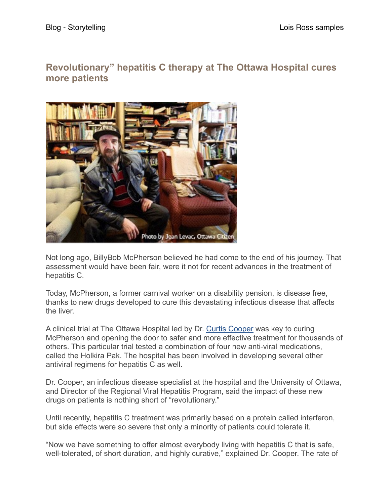## **Revolutionary" hepatitis C therapy at The Ottawa Hospital cures more patients**



Not long ago, BillyBob McPherson believed he had come to the end of his journey. That assessment would have been fair, were it not for recent advances in the treatment of hepatitis C.

Today, McPherson, a former carnival worker on a disability pension, is disease free, thanks to new drugs developed to cure this devastating infectious disease that affects the liver.

A clinical trial at The Ottawa Hospital led by Dr. [Curtis Cooper](http://www.ohri.ca/profile/CurtisCooper) was key to curing McPherson and opening the door to safer and more effective treatment for thousands of others. This particular trial tested a combination of four new anti-viral medications, called the Holkira Pak. The hospital has been involved in developing several other antiviral regimens for hepatitis C as well.

Dr. Cooper, an infectious disease specialist at the hospital and the University of Ottawa, and Director of the Regional Viral Hepatitis Program, said the impact of these new drugs on patients is nothing short of "revolutionary."

Until recently, hepatitis C treatment was primarily based on a protein called interferon, but side effects were so severe that only a minority of patients could tolerate it.

"Now we have something to offer almost everybody living with hepatitis C that is safe, well-tolerated, of short duration, and highly curative," explained Dr. Cooper. The rate of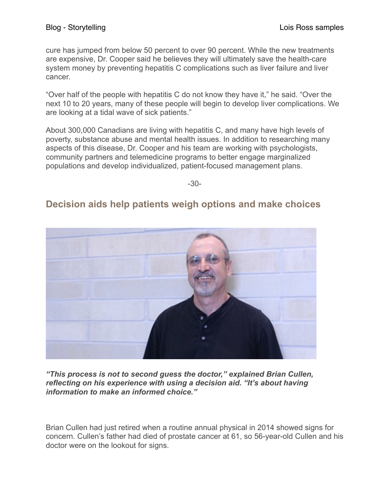cure has jumped from below 50 percent to over 90 percent. While the new treatments are expensive, Dr. Cooper said he believes they will ultimately save the health-care system money by preventing hepatitis C complications such as liver failure and liver cancer.

"Over half of the people with hepatitis C do not know they have it," he said. "Over the next 10 to 20 years, many of these people will begin to develop liver complications. We are looking at a tidal wave of sick patients."

About 300,000 Canadians are living with hepatitis C, and many have high levels of poverty, substance abuse and mental health issues. In addition to researching many aspects of this disease, Dr. Cooper and his team are working with psychologists, community partners and telemedicine programs to better engage marginalized populations and develop individualized, patient-focused management plans.

-30-

## **Decision aids help patients weigh options and make choices**



*"This process is not to second guess the doctor," explained Brian Cullen, reflecting on his experience with using a decision aid. "It's about having information to make an informed choice."*

Brian Cullen had just retired when a routine annual physical in 2014 showed signs for concern. Cullen's father had died of prostate cancer at 61, so 56-year-old Cullen and his doctor were on the lookout for signs.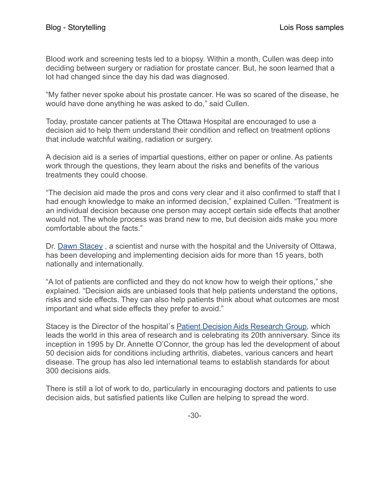Blood work and screening tests led to a biopsy. Within a month, Cullen was deep into deciding between surgery or radiation for prostate cancer. But, he soon learned that a lot had changed since the day his dad was diagnosed.

"My father never spoke about his prostate cancer. He was so scared of the disease, he would have done anything he was asked to do," said Cullen.

Today, prostate cancer patients at The Ottawa Hospital are encouraged to use a decision aid to help them understand their condition and reflect on treatment options that include watchful waiting, radiation or surgery.

A decision aid is a series of impartial questions, either on paper or online. As patients work through the questions, they learn about the risks and benefits of the various treatments they could choose.

"The decision aid made the pros and cons very clear and it also confirmed to staff that I had enough knowledge to make an informed decision," explained Cullen. "Treatment is an individual decision because one person may accept certain side effects that another would not. The whole process was brand new to me, but decision aids make you more comfortable about the facts."

Dr. [Dawn Stacey](http://www.ohri.ca/profile/dstacey) , a scientist and nurse with the hospital and the University of Ottawa, has been developing and implementing decision aids for more than 15 years, both nationally and internationally.

"A lot of patients are conflicted and they do not know how to weigh their options," she explained. "Decision aids are unbiased tools that help patients understand the options, risks and side effects. They can also help patients think about what outcomes are most important and what side effects they prefer to avoid."

Stacey is the Director of the hospital`s [Patient Decision Aids Research Group,](https://decisionaid.ohri.ca/about.html) which leads the world in this area of research and is celebrating its 20th anniversary. Since its inception in 1995 by Dr. Annette O'Connor, the group has led the development of about 50 decision aids for conditions including arthritis, diabetes, various cancers and heart disease. The group has also led international teams to establish standards for about 300 decisions aids.

There is still a lot of work to do, particularly in encouraging doctors and patients to use decision aids, but satisfied patients like Cullen are helping to spread the word.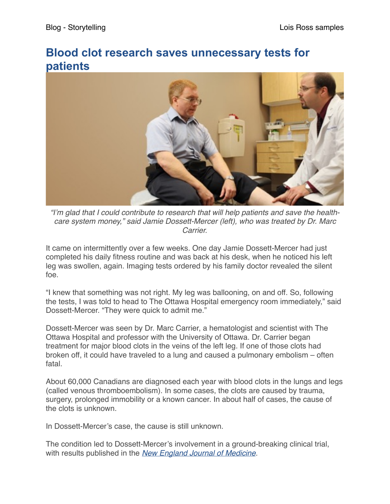## **Blood clot research saves unnecessary tests for patients**



*"I'm glad that I could contribute to research that will help patients and save the healthcare system money," said Jamie Dossett-Mercer (left), who was treated by Dr. Marc Carrier.*

It came on intermittently over a few weeks. One day Jamie Dossett-Mercer had just completed his daily fitness routine and was back at his desk, when he noticed his left leg was swollen, again. Imaging tests ordered by his family doctor revealed the silent foe.

"I knew that something was not right. My leg was ballooning, on and off. So, following the tests, I was told to head to The Ottawa Hospital emergency room immediately," said Dossett-Mercer. "They were quick to admit me."

Dossett-Mercer was seen by Dr. Marc Carrier, a hematologist and scientist with The Ottawa Hospital and professor with the University of Ottawa. Dr. Carrier began treatment for major blood clots in the veins of the left leg. If one of those clots had broken off, it could have traveled to a lung and caused a pulmonary embolism – often fatal.

About 60,000 Canadians are diagnosed each year with blood clots in the lungs and legs (called venous thromboembolism). In some cases, the clots are caused by trauma, surgery, prolonged immobility or a known cancer. In about half of cases, the cause of the clots is unknown.

In Dossett-Mercer's case, the cause is still unknown.

The condition led to Dossett-Mercer's involvement in a ground-breaking clinical trial, with results published in the *[New England Journal of Medicine.](http://www.nejm.org/doi/full/10.1056/NEJMoa1506623?query=featured_home)*